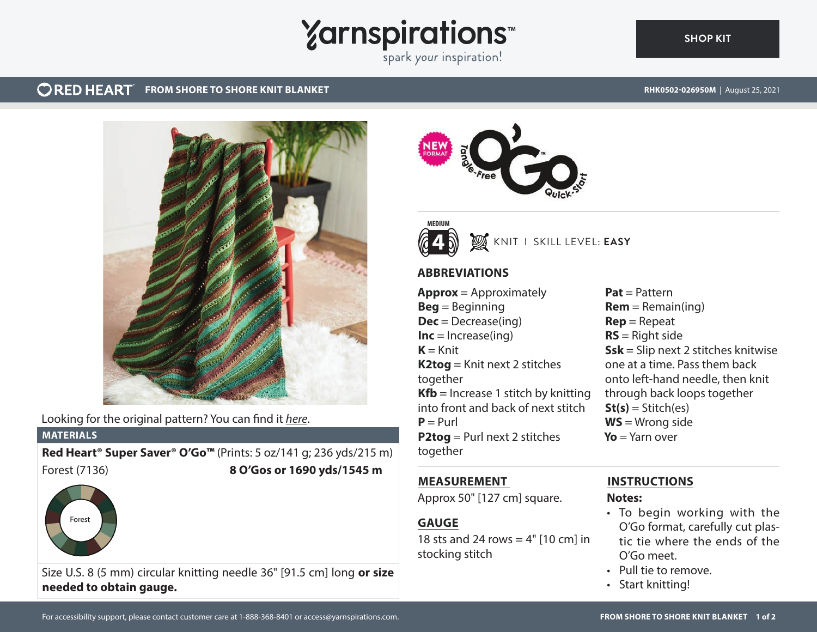# **Yarnspirations**

spark your inspiration!

#### **ORED HEART FROM SHORE TO SHORE KNIT BLANKET**

**[SHOP KIT](https://www.yarnspirations.com/RHK0502-026950M.html#utm_source=pdf-yarnspirations&utm_medium=referral)**



Looking for the original pattern? You can find it *[here](https://www.yarnspirations.com/on/demandware.static/-/Sites-master-catalog-spinrite/default/dw440c242d/PDF/RHK0502-026950M-1.pdf)*.

#### **MATERIALS**

Forest

**Red Heart® Super Saver® O'Go™** (Prints: 5 oz/141 g; 236 yds/215 m) Forest (7136) **8 O'Gos or 1690 yds/1545 m**







KNIT I SKILL LEVEL: **EASY**

## **ABBREVIATIONS**

**Approx** = Approximately **Beg** = Beginning **Dec** = Decrease(ing)  $Inc = Increase(ing)$  $K =$ Knit **K2tog** = Knit next 2 stitches together **Kfb** = Increase 1 stitch by knitting into front and back of next stitch  $P = Purl$ **P2tog** = Purl next 2 stitches together

**Pat** = Pattern  $Rem = Remain(ing)$ **Rep** = Repeat **RS** = Right side **Ssk** = Slip next 2 stitches knitwise one at a time. Pass them back onto left-hand needle, then knit through back loops together  $St(s) = Stitch(es)$ **WS** = Wrong side **Yo** = Yarn over

## **MEASUREMENT**

Approx 50" [127 cm] square.

## **GAUGE**

18 sts and 24 rows  $= 4"$  [10 cm] in stocking stitch

## **INSTRUCTIONS**

## **Notes:**

- To begin working with the O'Go format, carefully cut plastic tie where the ends of the O'Go meet.
- Pull tie to remove.
- Start knitting!